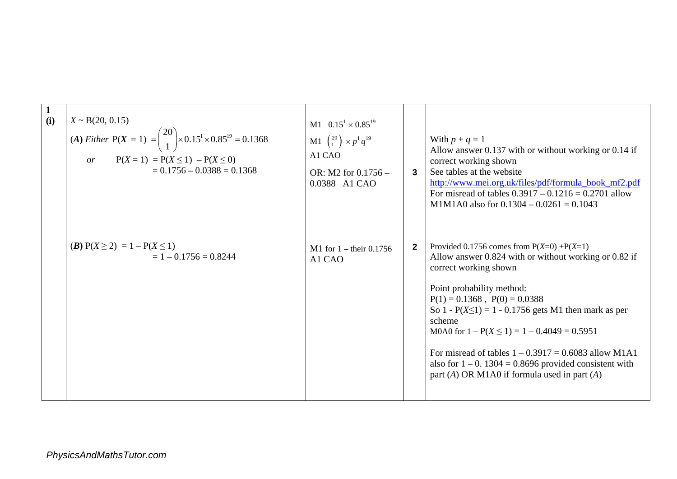| $\mathbf{1}$<br>(i) | $X \sim B(20, 0.15)$<br>(A) Either P(X = 1) = $\binom{20}{1}$ × 0.15 <sup>1</sup> × 0.85 <sup>19</sup> = 0.1368<br>$P(X = 1) = P(X \le 1) - P(X \le 0)$<br>or<br>$= 0.1756 - 0.0388 = 0.1368$ | M1 $0.15^1 \times 0.85^{19}$<br><b>M1</b> $\binom{20}{1}$ × $p^1 q^{19}$<br>A1 CAO<br>OR: M2 for $0.1756 -$<br>0.0388 A1 CAO | $\mathbf{3}$ | With $p + q = 1$<br>Allow answer 0.137 with or without working or 0.14 if<br>correct working shown<br>See tables at the website<br>http://www.mei.org.uk/files/pdf/formula_book_mf2.pdf<br>For misread of tables $0.3917 - 0.1216 = 0.2701$ allow<br>M1M1A0 also for $0.1304 - 0.0261 = 0.1043$                                                                                                                                                                                                   |
|---------------------|-----------------------------------------------------------------------------------------------------------------------------------------------------------------------------------------------|------------------------------------------------------------------------------------------------------------------------------|--------------|---------------------------------------------------------------------------------------------------------------------------------------------------------------------------------------------------------------------------------------------------------------------------------------------------------------------------------------------------------------------------------------------------------------------------------------------------------------------------------------------------|
|                     | ( <i>B</i> ) $P(X \ge 2) = 1 - P(X \le 1)$<br>$= 1 - 0.1756 = 0.8244$                                                                                                                         | M1 for $1 -$ their 0.1756<br>A1 CAO                                                                                          | $\mathbf{2}$ | Provided 0.1756 comes from $P(X=0) + P(X=1)$<br>Allow answer 0.824 with or without working or 0.82 if<br>correct working shown<br>Point probability method:<br>$P(1) = 0.1368$ , $P(0) = 0.0388$<br>So 1 - $P(X \le 1) = 1 - 0.1756$ gets M1 then mark as per<br>scheme<br>M0A0 for $1 - P(X \le 1) = 1 - 0.4049 = 0.5951$<br>For misread of tables $1 - 0.3917 = 0.6083$ allow M1A1<br>also for $1 - 0$ . 1304 = 0.8696 provided consistent with<br>part (A) OR M1A0 if formula used in part (A) |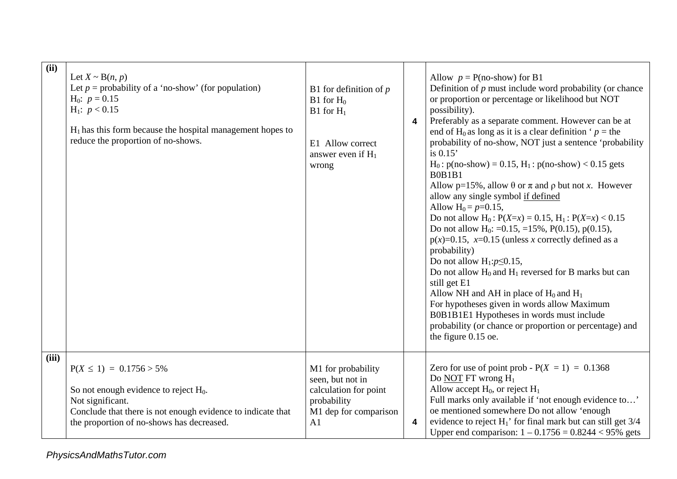| (ii)  | Let $X \sim B(n, p)$<br>Let $p =$ probability of a 'no-show' (for population)<br>$H_0$ : $p = 0.15$<br>$H_1$ : $p < 0.15$<br>$H_1$ has this form because the hospital management hopes to<br>reduce the proportion of no-shows. | B1 for definition of $p$<br>$B1$ for $H_0$<br>$B1$ for $H_1$<br>E1 Allow correct<br>answer even if $H_1$<br>wrong | 4 | Allow $p = P(no-show)$ for B1<br>Definition of $p$ must include word probability (or chance<br>or proportion or percentage or likelihood but NOT<br>possibility).<br>Preferably as a separate comment. However can be at<br>end of H <sub>0</sub> as long as it is a clear definition ' $p =$ the<br>probability of no-show, NOT just a sentence 'probability<br>is $0.15$<br>$H_0: p(no-show) = 0.15, H_1: p(no-show) < 0.15$ gets<br><b>B0B1B1</b><br>Allow p=15%, allow $\theta$ or $\pi$ and $\rho$ but not x. However<br>allow any single symbol if defined<br>Allow $H_0 = p=0.15$ ,<br>Do not allow $H_0$ : $P(X=x) = 0.15$ , $H_1$ : $P(X=x) < 0.15$<br>Do not allow H <sub>0</sub> : =0.15, =15%, P(0.15), p(0.15),<br>$p(x)=0.15$ , x=0.15 (unless x correctly defined as a<br>probability)<br>Do not allow $H_1: p \le 0.15$ ,<br>Do not allow $H_0$ and $H_1$ reversed for B marks but can<br>still get E1<br>Allow NH and AH in place of $H_0$ and $H_1$<br>For hypotheses given in words allow Maximum<br>B0B1B1E1 Hypotheses in words must include<br>probability (or chance or proportion or percentage) and<br>the figure 0.15 oe. |
|-------|---------------------------------------------------------------------------------------------------------------------------------------------------------------------------------------------------------------------------------|-------------------------------------------------------------------------------------------------------------------|---|-----------------------------------------------------------------------------------------------------------------------------------------------------------------------------------------------------------------------------------------------------------------------------------------------------------------------------------------------------------------------------------------------------------------------------------------------------------------------------------------------------------------------------------------------------------------------------------------------------------------------------------------------------------------------------------------------------------------------------------------------------------------------------------------------------------------------------------------------------------------------------------------------------------------------------------------------------------------------------------------------------------------------------------------------------------------------------------------------------------------------------------------------------|
| (iii) | $P(X \le 1) = 0.1756 > 5\%$<br>So not enough evidence to reject $H_0$ .<br>Not significant.<br>Conclude that there is not enough evidence to indicate that<br>the proportion of no-shows has decreased.                         | M1 for probability<br>seen, but not in<br>calculation for point<br>probability<br>M1 dep for comparison<br>A1     | 4 | Zero for use of point prob - $P(X = 1) = 0.1368$<br>Do NOT FT wrong $H_1$<br>Allow accept $H_0$ , or reject $H_1$<br>Full marks only available if 'not enough evidence to'<br>oe mentioned somewhere Do not allow 'enough<br>evidence to reject $H_1$ ' for final mark but can still get $3/4$<br>Upper end comparison: $1 - 0.1756 = 0.8244 < 95\%$ gets                                                                                                                                                                                                                                                                                                                                                                                                                                                                                                                                                                                                                                                                                                                                                                                           |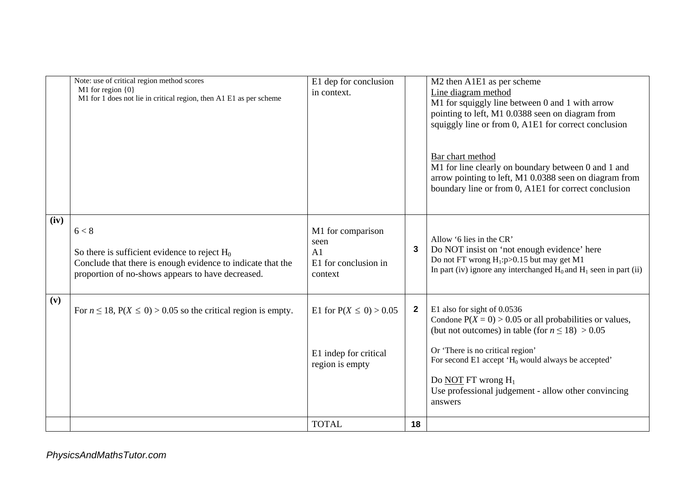|      | Note: use of critical region method scores                                                  | E1 dep for conclusion      |              | M2 then A1E1 as per scheme                                                                                                                                                                |
|------|---------------------------------------------------------------------------------------------|----------------------------|--------------|-------------------------------------------------------------------------------------------------------------------------------------------------------------------------------------------|
|      | M1 for region $\{0\}$<br>M1 for 1 does not lie in critical region, then A1 E1 as per scheme | in context.                |              | Line diagram method                                                                                                                                                                       |
|      |                                                                                             |                            |              | M1 for squiggly line between 0 and 1 with arrow                                                                                                                                           |
|      |                                                                                             |                            |              | pointing to left, M1 0.0388 seen on diagram from<br>squiggly line or from 0, A1E1 for correct conclusion                                                                                  |
|      |                                                                                             |                            |              |                                                                                                                                                                                           |
|      |                                                                                             |                            |              | Bar chart method<br>M1 for line clearly on boundary between 0 and 1 and<br>arrow pointing to left, M1 0.0388 seen on diagram from<br>boundary line or from 0, A1E1 for correct conclusion |
| (iv) |                                                                                             |                            |              |                                                                                                                                                                                           |
|      | 6 < 8                                                                                       | M1 for comparison          |              | Allow '6 lies in the CR'                                                                                                                                                                  |
|      | So there is sufficient evidence to reject $H_0$                                             | seen<br>A1                 | 3            | Do NOT insist on 'not enough evidence' here                                                                                                                                               |
|      | Conclude that there is enough evidence to indicate that the                                 | E1 for conclusion in       |              | Do not FT wrong $H_1: p>0.15$ but may get M1                                                                                                                                              |
|      | proportion of no-shows appears to have decreased.                                           | context                    |              | In part (iv) ignore any interchanged $H_0$ and $H_1$ seen in part (ii)                                                                                                                    |
|      |                                                                                             |                            |              |                                                                                                                                                                                           |
| (v)  |                                                                                             |                            |              |                                                                                                                                                                                           |
|      | For $n \le 18$ , $P(X \le 0) > 0.05$ so the critical region is empty.                       | E1 for $P(X \le 0) > 0.05$ | $\mathbf{2}$ | E1 also for sight of 0.0536<br>Condone $P(X = 0) > 0.05$ or all probabilities or values,                                                                                                  |
|      |                                                                                             |                            |              | (but not outcomes) in table (for $n \le 18$ ) > 0.05                                                                                                                                      |
|      |                                                                                             |                            |              |                                                                                                                                                                                           |
|      |                                                                                             | E1 indep for critical      |              | Or 'There is no critical region'<br>For second E1 accept $H_0$ would always be accepted'                                                                                                  |
|      |                                                                                             | region is empty            |              |                                                                                                                                                                                           |
|      |                                                                                             |                            |              | Do NOT FT wrong $H_1$                                                                                                                                                                     |
|      |                                                                                             |                            |              | Use professional judgement - allow other convincing                                                                                                                                       |
|      |                                                                                             |                            |              | answers                                                                                                                                                                                   |
|      |                                                                                             | <b>TOTAL</b>               | 18           |                                                                                                                                                                                           |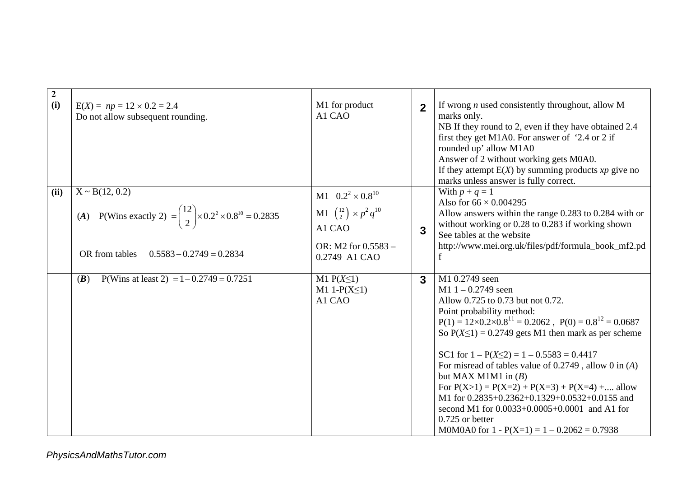| $\boldsymbol{2}$<br>(i) | $E(X) = np = 12 \times 0.2 = 2.4$<br>Do not allow subsequent rounding.                                                                                         | M1 for product<br>A1 CAO                                                                                             | $\overline{2}$ | If wrong $n$ used consistently throughout, allow M<br>marks only.<br>NB If they round to 2, even if they have obtained 2.4<br>first they get M1A0. For answer of '2.4 or 2 if<br>rounded up' allow M1A0<br>Answer of 2 without working gets M0A0.<br>If they attempt $E(X)$ by summing products xp give no<br>marks unless answer is fully correct.                                                                                                                                                                                                                                                                         |
|-------------------------|----------------------------------------------------------------------------------------------------------------------------------------------------------------|----------------------------------------------------------------------------------------------------------------------|----------------|-----------------------------------------------------------------------------------------------------------------------------------------------------------------------------------------------------------------------------------------------------------------------------------------------------------------------------------------------------------------------------------------------------------------------------------------------------------------------------------------------------------------------------------------------------------------------------------------------------------------------------|
| (ii)                    | $X \sim B(12, 0.2)$<br>(A) P(Wins exactly 2) = $\binom{12}{2}$ × 0.2 <sup>2</sup> × 0.8 <sup>10</sup> = 0.2835<br>OR from tables<br>$0.5583 - 0.2749 = 0.2834$ | M1 $0.2^2 \times 0.8^{10}$<br>M1 $\binom{12}{2} \times p^2 q^{10}$<br>A1 CAO<br>OR: M2 for 0.5583 -<br>0.2749 A1 CAO | 3              | With $p + q = 1$<br>Also for $66 \times 0.004295$<br>Allow answers within the range 0.283 to 0.284 with or<br>without working or 0.28 to 0.283 if working shown<br>See tables at the website<br>http://www.mei.org.uk/files/pdf/formula_book_mf2.pd                                                                                                                                                                                                                                                                                                                                                                         |
|                         | P(Wins at least 2) = $1 - 0.2749 = 0.7251$<br>(B)                                                                                                              | M1 $P(X \leq 1)$<br>M1 1- $P(X \leq 1)$<br>A1 CAO                                                                    | $\mathbf{3}$   | M1 0.2749 seen<br>$M1 1 - 0.2749$ seen<br>Allow 0.725 to 0.73 but not 0.72.<br>Point probability method:<br>$P(1) = 12 \times 0.2 \times 0.8^{11} = 0.2062$ , $P(0) = 0.8^{12} = 0.0687$<br>So $P(X \le 1) = 0.2749$ gets M1 then mark as per scheme<br>SC1 for $1 - P(X \le 2) = 1 - 0.5583 = 0.4417$<br>For misread of tables value of $0.2749$ , allow $0$ in $(A)$<br>but MAX M1M1 in $(B)$<br>For $P(X>1) = P(X=2) + P(X=3) + P(X=4) + $ allow<br>M1 for 0.2835+0.2362+0.1329+0.0532+0.0155 and<br>second M1 for 0.0033+0.0005+0.0001 and A1 for<br>$0.725$ or better<br>M0M0A0 for $1 - P(X=1) = 1 - 0.2062 = 0.7938$ |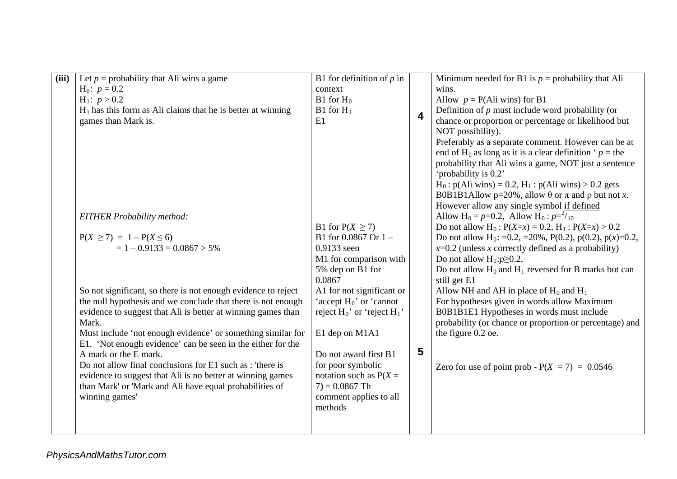| (iii) | Let $p =$ probability that Ali wins a game                                                                                    | B1 for definition of $p$ in                             |                         | Minimum needed for B1 is $p =$ probability that Ali                                      |
|-------|-------------------------------------------------------------------------------------------------------------------------------|---------------------------------------------------------|-------------------------|------------------------------------------------------------------------------------------|
|       | $H_0$ : $p = 0.2$                                                                                                             | context                                                 |                         | wins.                                                                                    |
|       | $H_1$ : $p > 0.2$                                                                                                             | $B1$ for $H_0$                                          |                         | Allow $p = P(Ali wins)$ for B1                                                           |
|       | $H_1$ has this form as Ali claims that he is better at winning                                                                | B1 for $H_1$                                            |                         | Definition of $p$ must include word probability (or                                      |
|       | games than Mark is.                                                                                                           | E1                                                      | $\overline{\mathbf{4}}$ | chance or proportion or percentage or likelihood but                                     |
|       |                                                                                                                               |                                                         |                         | NOT possibility).                                                                        |
|       |                                                                                                                               |                                                         |                         | Preferably as a separate comment. However can be at                                      |
|       |                                                                                                                               |                                                         |                         | end of H <sub>0</sub> as long as it is a clear definition ' $p =$ the                    |
|       |                                                                                                                               |                                                         |                         | probability that Ali wins a game, NOT just a sentence                                    |
|       |                                                                                                                               |                                                         |                         | 'probability is 0.2'                                                                     |
|       |                                                                                                                               |                                                         |                         | $H_0$ : p(Ali wins) = 0.2, $H_1$ : p(Ali wins) > 0.2 gets                                |
|       |                                                                                                                               |                                                         |                         | B0B1B1Allow p=20%, allow $\theta$ or $\pi$ and $\rho$ but not x.                         |
|       |                                                                                                                               |                                                         |                         | However allow any single symbol if defined                                               |
|       | <b>EITHER Probability method:</b>                                                                                             |                                                         |                         | Allow H <sub>0</sub> = $p=0.2$ , Allow H <sub>0</sub> : $p=^{2}/_{10}$                   |
|       |                                                                                                                               | B1 for $P(X \ge 7)$                                     |                         | Do not allow H <sub>0</sub> : $P(X=x) = 0.2$ , H <sub>1</sub> : $P(X=x) > 0.2$           |
|       | $P(X \ge 7) = 1 - P(X \le 6)$                                                                                                 | B1 for $0.0867$ Or $1 -$                                |                         | Do not allow H <sub>0</sub> : =0.2, =20%, P(0.2), p(0.2), p(x)=0.2,                      |
|       | $= 1 - 0.9133 = 0.0867 > 5\%$                                                                                                 | 0.9133 seen                                             |                         | $x=0.2$ (unless x correctly defined as a probability)                                    |
|       |                                                                                                                               | M1 for comparison with                                  |                         | Do not allow $H_1: p \ge 0.2$ ,                                                          |
|       |                                                                                                                               | 5% dep on B1 for                                        |                         | Do not allow $H_0$ and $H_1$ reversed for B marks but can                                |
|       |                                                                                                                               | 0.0867                                                  |                         | still get E1                                                                             |
|       | So not significant, so there is not enough evidence to reject<br>the null hypothesis and we conclude that there is not enough | A1 for not significant or<br>'accept $H_0$ ' or 'cannot |                         | Allow NH and AH in place of $H_0$ and $H_1$                                              |
|       | evidence to suggest that Ali is better at winning games than                                                                  | reject $H_0$ ' or 'reject $H_1$ '                       |                         | For hypotheses given in words allow Maximum<br>B0B1B1E1 Hypotheses in words must include |
|       | Mark.                                                                                                                         |                                                         |                         | probability (or chance or proportion or percentage) and                                  |
|       | Must include 'not enough evidence' or something similar for                                                                   | E1 dep on M1A1                                          |                         | the figure 0.2 oe.                                                                       |
|       | E1. 'Not enough evidence' can be seen in the either for the                                                                   |                                                         |                         |                                                                                          |
|       | A mark or the E mark.                                                                                                         | Do not award first B1                                   | 5                       |                                                                                          |
|       | Do not allow final conclusions for E1 such as : 'there is                                                                     | for poor symbolic                                       |                         | Zero for use of point prob - $P(X = 7) = 0.0546$                                         |
|       | evidence to suggest that Ali is no better at winning games                                                                    | notation such as $P(X =$                                |                         |                                                                                          |
|       | than Mark' or 'Mark and Ali have equal probabilities of                                                                       | $7) = 0.0867$ Th                                        |                         |                                                                                          |
|       | winning games'                                                                                                                | comment applies to all                                  |                         |                                                                                          |
|       |                                                                                                                               | methods                                                 |                         |                                                                                          |
|       |                                                                                                                               |                                                         |                         |                                                                                          |
|       |                                                                                                                               |                                                         |                         |                                                                                          |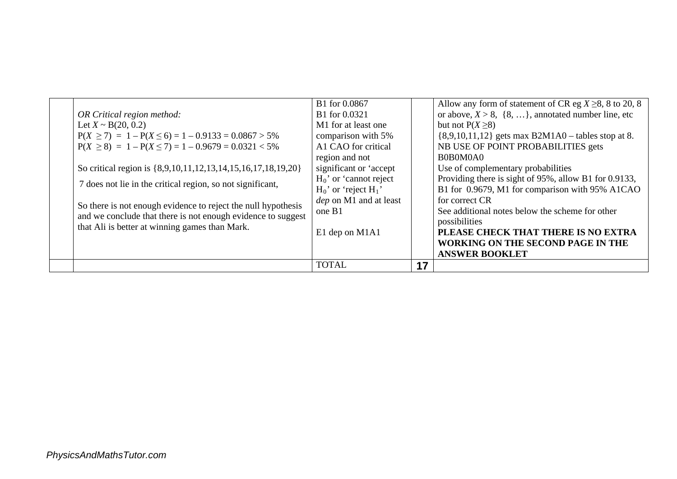|  |                                                               | B1 for 0.0867                 |    | Allow any form of statement of CR eg $X \ge 8$ , 8 to 20, 8 |
|--|---------------------------------------------------------------|-------------------------------|----|-------------------------------------------------------------|
|  | OR Critical region method:                                    | B1 for 0.0321                 |    | or above, $X > 8$ , $\{8, \}$ , annotated number line, etc  |
|  | Let $X \sim B(20, 0.2)$                                       | M1 for at least one           |    | but not $P(X \ge 8)$                                        |
|  | $P(X \ge 7) = 1 - P(X \le 6) = 1 - 0.9133 = 0.0867 > 5\%$     | comparison with 5%            |    | $\{8,9,10,11,12\}$ gets max B2M1A0 – tables stop at 8.      |
|  | $P(X \ge 8) = 1 - P(X \le 7) = 1 - 0.9679 = 0.0321 < 5\%$     | A1 CAO for critical           |    | NB USE OF POINT PROBABILITIES gets                          |
|  |                                                               | region and not                |    | B0B0M0A0                                                    |
|  | So critical region is {8,9,10,11,12,13,14,15,16,17,18,19,20}  | significant or 'accept        |    | Use of complementary probabilities                          |
|  | 7 does not lie in the critical region, so not significant,    | $H_0$ ' or 'cannot reject     |    | Providing there is sight of 95%, allow B1 for 0.9133,       |
|  |                                                               | $H_0$ ' or 'reject $H_1$ '    |    | B1 for 0.9679, M1 for comparison with 95% A1CAO             |
|  | So there is not enough evidence to reject the null hypothesis | <i>dep</i> on M1 and at least |    | for correct CR                                              |
|  | and we conclude that there is not enough evidence to suggest  | one B1                        |    | See additional notes below the scheme for other             |
|  | that Ali is better at winning games than Mark.                |                               |    | possibilities                                               |
|  |                                                               | E1 dep on M1A1                |    | PLEASE CHECK THAT THERE IS NO EXTRA                         |
|  |                                                               |                               |    | <b>WORKING ON THE SECOND PAGE IN THE</b>                    |
|  |                                                               |                               |    | <b>ANSWER BOOKLET</b>                                       |
|  |                                                               | <b>TOTAL</b>                  | 17 |                                                             |